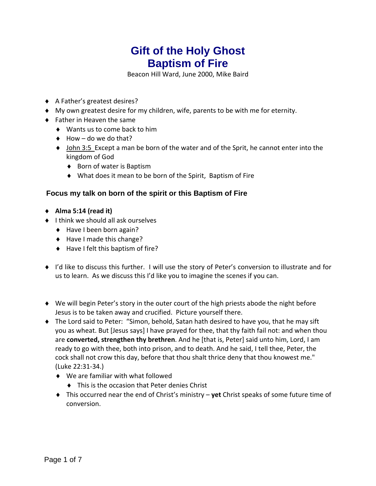## **Gift of the Holy Ghost Baptism of Fire**

Beacon Hill Ward, June 2000, Mike Baird

- A Father's greatest desires?
- My own greatest desire for my children, wife, parents to be with me for eternity.
- ◆ Father in Heaven the same
	- ◆ Wants us to come back to him
	- $\leftrightarrow$  How do we do that?
	- ♦ John 3:5 Except a man be born of the water and of the Sprit, he cannot enter into the kingdom of God
		- ◆ Born of water is Baptism
		- What does it mean to be born of the Spirit, Baptism of Fire

## **Focus my talk on born of the spirit or this Baptism of Fire**

- **Alma 5:14 (read it)**
- $\bullet$  I think we should all ask ourselves
	- ◆ Have I been born again?
	- ◆ Have I made this change?
	- ◆ Have I felt this baptism of fire?
- I'd like to discuss this further. I will use the story of Peter's conversion to illustrate and for us to learn. As we discuss this I'd like you to imagine the scenes if you can.
- We will begin Peter's story in the outer court of the high priests abode the night before Jesus is to be taken away and crucified. Picture yourself there.
- The Lord said to Peter: "Simon, behold, Satan hath desired to have you, that he may sift you as wheat. But [Jesus says] I have prayed for thee, that thy faith fail not: and when thou are **converted, strengthen thy brethren**. And he [that is, Peter] said unto him, Lord, I am ready to go with thee, both into prison, and to death. And he said, I tell thee, Peter, the cock shall not crow this day, before that thou shalt thrice deny that thou knowest me." (Luke 22:31‐34.)
	- We are familiar with what followed
		- $\bullet$  This is the occasion that Peter denies Christ
	- This occurred near the end of Christ's ministry **yet** Christ speaks of some future time of conversion.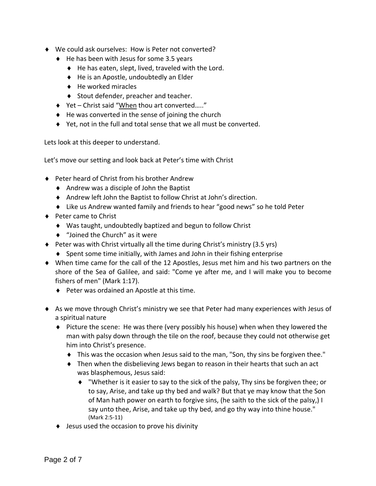- We could ask ourselves: How is Peter not converted?
	- $\blacklozenge$  He has been with Jesus for some 3.5 years
		- He has eaten, slept, lived, traveled with the Lord.
		- ◆ He is an Apostle, undoubtedly an Elder
		- $\leftrightarrow$  He worked miracles
		- ◆ Stout defender, preacher and teacher.
	- ◆ Yet Christ said "When thou art converted....."
	- $\triangle$  He was converted in the sense of joining the church
	- Yet, not in the full and total sense that we all must be converted.

Lets look at this deeper to understand.

Let's move our setting and look back at Peter's time with Christ

- ◆ Peter heard of Christ from his brother Andrew
	- $\triangleleft$  Andrew was a disciple of John the Baptist
	- Andrew left John the Baptist to follow Christ at John's direction.
	- Like us Andrew wanted family and friends to hear "good news" so he told Peter
- ◆ Peter came to Christ
	- Was taught, undoubtedly baptized and begun to follow Christ
	- ◆ "Joined the Church" as it were
- $\blacklozenge$  Peter was with Christ virtually all the time during Christ's ministry (3.5 yrs)
	- $\bullet$  Spent some time initially, with James and John in their fishing enterprise
- When time came for the call of the 12 Apostles, Jesus met him and his two partners on the shore of the Sea of Galilee, and said: "Come ye after me, and I will make you to become fishers of men" (Mark 1:17).
	- ◆ Peter was ordained an Apostle at this time.
- As we move through Christ's ministry we see that Peter had many experiences with Jesus of a spiritual nature
	- Picture the scene: He was there (very possibly his house) when when they lowered the man with palsy down through the tile on the roof, because they could not otherwise get him into Christ's presence.
		- This was the occasion when Jesus said to the man, "Son, thy sins be forgiven thee."
		- Then when the disbelieving Jews began to reason in their hearts that such an act was blasphemous, Jesus said:
			- $\bullet$  "Whether is it easier to say to the sick of the palsy, Thy sins be forgiven thee; or to say, Arise, and take up thy bed and walk? But that ye may know that the Son of Man hath power on earth to forgive sins, (he saith to the sick of the palsy,) I say unto thee, Arise, and take up thy bed, and go thy way into thine house." (Mark 2:5‐11)
	- ◆ Jesus used the occasion to prove his divinity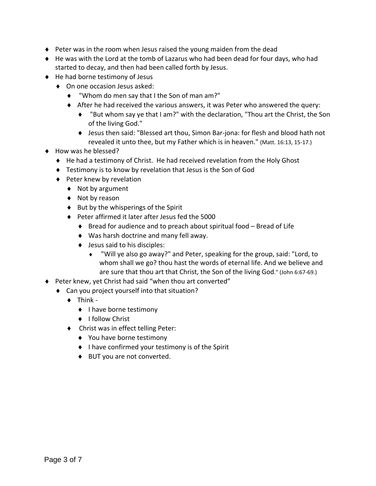- $\blacklozenge$  Peter was in the room when Jesus raised the young maiden from the dead
- He was with the Lord at the tomb of Lazarus who had been dead for four days, who had started to decay, and then had been called forth by Jesus.
- ◆ He had borne testimony of Jesus
	- ◆ On one occasion Jesus asked:
		- "Whom do men say that I the Son of man am?"
		- After he had received the various answers, it was Peter who answered the query:
			- "But whom say ye that I am?" with the declaration, "Thou art the Christ, the Son of the living God."
			- Jesus then said: "Blessed art thou, Simon Bar‐jona: for flesh and blood hath not revealed it unto thee, but my Father which is in heaven." (Matt. 16:13, 15‐17.)
- ◆ How was he blessed?
	- ◆ He had a testimony of Christ. He had received revelation from the Holy Ghost
	- Testimony is to know by revelation that Jesus is the Son of God
	- ◆ Peter knew by revelation
		- ◆ Not by argument
		- ◆ Not by reason
		- $\bullet$  But by the whisperings of the Spirit
		- ◆ Peter affirmed it later after Jesus fed the 5000
			- ◆ Bread for audience and to preach about spiritual food Bread of Life
			- Was harsh doctrine and many fell away.
			- ◆ Jesus said to his disciples:
				- "Will ye also go away?" and Peter, speaking for the group, said: "Lord, to whom shall we go? thou hast the words of eternal life. And we believe and are sure that thou art that Christ, the Son of the living God." (John 6:67‐69.)
- Peter knew, yet Christ had said "when thou art converted"
	- Can you project yourself into that situation?
		- $\triangleleft$  Think -
			- ◆ I have borne testimony
			- ◆ I follow Christ
		- ◆ Christ was in effect telling Peter:
			- ◆ You have borne testimony
			- $\bullet$  I have confirmed your testimony is of the Spirit
			- ◆ BUT you are not converted.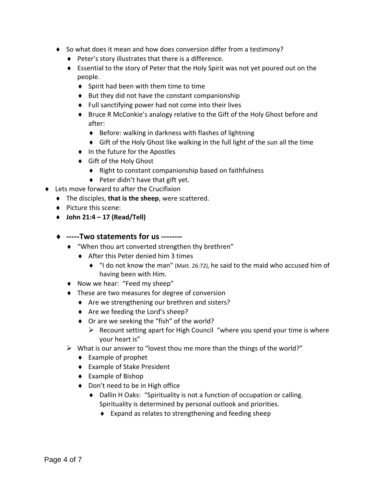- ◆ So what does it mean and how does conversion differ from a testimony?
	- ◆ Peter's story illustrates that there is a difference.
	- Essential to the story of Peter that the Holy Spirit was not yet poured out on the people.
		- ◆ Spirit had been with them time to time
		- $\bullet$  But they did not have the constant companionship
		- Full sanctifying power had not come into their lives
		- Bruce R McConkie's analogy relative to the Gift of the Holy Ghost before and after:
			- Before: walking in darkness with flashes of lightning
			- Gift of the Holy Ghost like walking in the full light of the sun all the time
		- ◆ In the future for the Apostles
		- Gift of the Holy Ghost
			- ◆ Right to constant companionship based on faithfulness
			- $\blacklozenge$  Peter didn't have that gift yet.
- Lets move forward to after the Crucifixion
	- The disciples, **that is the sheep**, were scattered.
	- ◆ Picture this scene:
	- **John 21:4 – 17 (Read/Tell)**
	- **‐‐‐‐‐Two statements for us ‐‐‐‐‐‐‐‐** 
		- "When thou art converted strengthen thy brethren"
			- ◆ After this Peter denied him 3 times
				- "I do not know the man" (Matt. 26:72), he said to the maid who accused him of having been with Him.
		- ◆ Now we hear: "Feed my sheep"
		- $\bullet$  These are two measures for degree of conversion
			- ◆ Are we strengthening our brethren and sisters?
			- ◆ Are we feeding the Lord's sheep?
			- ◆ Or are we seeking the "fish" of the world?
				- $\triangleright$  Recount setting apart for High Council "where you spend your time is where your heart is"
		- $\triangleright$  What is our answer to "lovest thou me more than the things of the world?"
			- ◆ Example of prophet
			- Example of Stake President
			- ◆ Example of Bishop
			- ◆ Don't need to be in High office
				- Dallin H Oaks: "Spirituality is not a function of occupation or calling. Spirituality is determined by personal outlook and priorities.
					- Expand as relates to strengthening and feeding sheep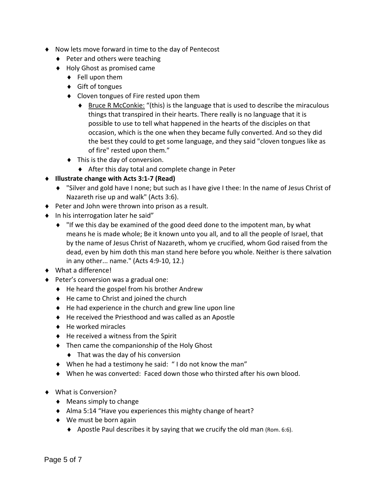- Now lets move forward in time to the day of Pentecost
	- $\blacklozenge$  Peter and others were teaching
	- ◆ Holy Ghost as promised came
		- $\bullet$  Fell upon them
		- ◆ Gift of tongues
		- Cloven tongues of Fire rested upon them
			- $\bullet$  Bruce R McConkie: "(this) is the language that is used to describe the miraculous things that transpired in their hearts. There really is no language that it is possible to use to tell what happened in the hearts of the disciples on that occasion, which is the one when they became fully converted. And so they did the best they could to get some language, and they said "cloven tongues like as of fire" rested upon them."
		- $\bullet$  This is the day of conversion.
			- After this day total and complete change in Peter
- **Illustrate change with Acts 3:1‐7 (Read)**
	- "Silver and gold have I none; but such as I have give I thee: In the name of Jesus Christ of Nazareth rise up and walk" (Acts 3:6).
- ◆ Peter and John were thrown into prison as a result.
- $\bullet$  In his interrogation later he said"
	- "If we this day be examined of the good deed done to the impotent man, by what means he is made whole; Be it known unto you all, and to all the people of Israel, that by the name of Jesus Christ of Nazareth, whom ye crucified, whom God raised from the dead, even by him doth this man stand here before you whole. Neither is there salvation in any other... name." (Acts 4:9‐10, 12.)
- What a difference!
- ◆ Peter's conversion was a gradual one:
	- $\triangleleft$  He heard the gospel from his brother Andrew
	- ◆ He came to Christ and joined the church
	- $\bullet$  He had experience in the church and grew line upon line
	- ◆ He received the Priesthood and was called as an Apostle
	- $\leftrightarrow$  He worked miracles
	- $\triangleleft$  He received a witness from the Spirit
	- ◆ Then came the companionship of the Holy Ghost
		- ◆ That was the day of his conversion
	- When he had a testimony he said: " I do not know the man"
	- When he was converted: Faced down those who thirsted after his own blood.
- What is Conversion?
	- ◆ Means simply to change
	- ◆ Alma 5:14 "Have you experiences this mighty change of heart?
	- ◆ We must be born again
		- $\blacklozenge$  Apostle Paul describes it by saying that we crucify the old man (Rom. 6:6).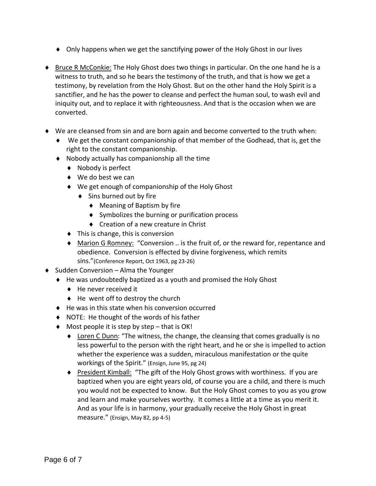- Only happens when we get the sanctifying power of the Holy Ghost in our lives
- ♦ Bruce R McConkie: The Holy Ghost does two things in particular. On the one hand he is a witness to truth, and so he bears the testimony of the truth, and that is how we get a testimony, by revelation from the Holy Ghost. But on the other hand the Holy Spirit is a sanctifier, and he has the power to cleanse and perfect the human soul, to wash evil and iniquity out, and to replace it with righteousness. And that is the occasion when we are converted.
- We are cleansed from sin and are born again and become converted to the truth when:
	- We get the constant companionship of that member of the Godhead, that is, get the right to the constant companionship.
	- Nobody actually has companionship all the time
		- ◆ Nobody is perfect
		- ◆ We do best we can
		- We get enough of companionship of the Holy Ghost
			- ◆ Sins burned out by fire
				- ◆ Meaning of Baptism by fire
				- ◆ Symbolizes the burning or purification process
				- ◆ Creation of a new creature in Christ
		- $\bullet$  This is change, this is conversion
		- Marion G Romney: "Conversion .. is the fruit of, or the reward for, repentance and obedience. Conversion is effected by divine forgiveness, which remits sins."(Conference Report, Oct 1963, pg 23‐26)
- $\bullet$  Sudden Conversion Alma the Younger
	- He was undoubtedly baptized as a youth and promised the Holy Ghost
		- ◆ He never received it
		- $\triangleleft$  He went off to destroy the church
	- $\bullet$  He was in this state when his conversion occurred
	- ◆ NOTE: He thought of the words of his father
	- $\blacklozenge$  Most people it is step by step that is OK!
		- ◆ Loren C Dunn: "The witness, the change, the cleansing that comes gradually is no less powerful to the person with the right heart, and he or she is impelled to action whether the experience was a sudden, miraculous manifestation or the quite workings of the Spirit." (Ensign, June 95, pg 24)
		- President Kimball: "The gift of the Holy Ghost grows with worthiness. If you are baptized when you are eight years old, of course you are a child, and there is much you would not be expected to know. But the Holy Ghost comes to you as you grow and learn and make yourselves worthy. It comes a little at a time as you merit it. And as your life is in harmony, your gradually receive the Holy Ghost in great measure." (Ensign, May 82, pp 4‐5)